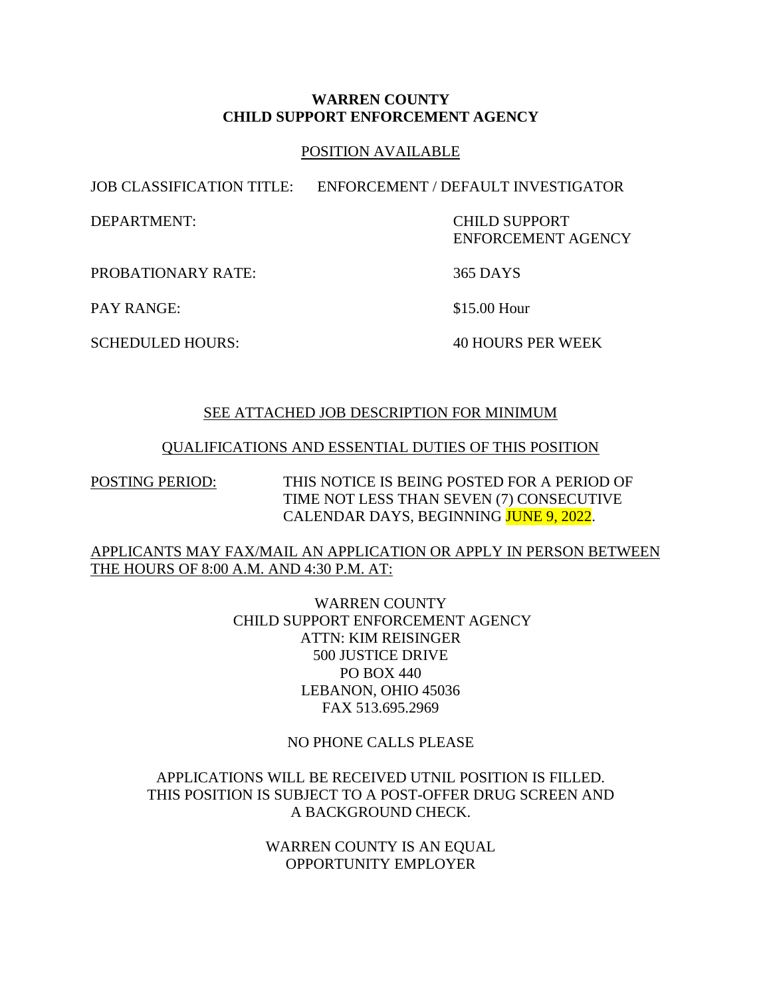#### **WARREN COUNTY CHILD SUPPORT ENFORCEMENT AGENCY**

#### POSITION AVAILABLE

JOB CLASSIFICATION TITLE: ENFORCEMENT / DEFAULT INVESTIGATOR

DEPARTMENT: CHILD SUPPORT ENFORCEMENT AGENCY

PROBATIONARY RATE: 365 DAYS

PAY RANGE: \$15.00 Hour

SCHEDULED HOURS: 40 HOURS PER WEEK

## SEE ATTACHED JOB DESCRIPTION FOR MINIMUM

#### QUALIFICATIONS AND ESSENTIAL DUTIES OF THIS POSITION

POSTING PERIOD: THIS NOTICE IS BEING POSTED FOR A PERIOD OF TIME NOT LESS THAN SEVEN (7) CONSECUTIVE CALENDAR DAYS, BEGINNING JUNE 9, 2022.

## APPLICANTS MAY FAX/MAIL AN APPLICATION OR APPLY IN PERSON BETWEEN THE HOURS OF 8:00 A.M. AND 4:30 P.M. AT:

WARREN COUNTY CHILD SUPPORT ENFORCEMENT AGENCY ATTN: KIM REISINGER 500 JUSTICE DRIVE PO BOX 440 LEBANON, OHIO 45036 FAX 513.695.2969

#### NO PHONE CALLS PLEASE

## APPLICATIONS WILL BE RECEIVED UTNIL POSITION IS FILLED. THIS POSITION IS SUBJECT TO A POST-OFFER DRUG SCREEN AND A BACKGROUND CHECK.

WARREN COUNTY IS AN EQUAL OPPORTUNITY EMPLOYER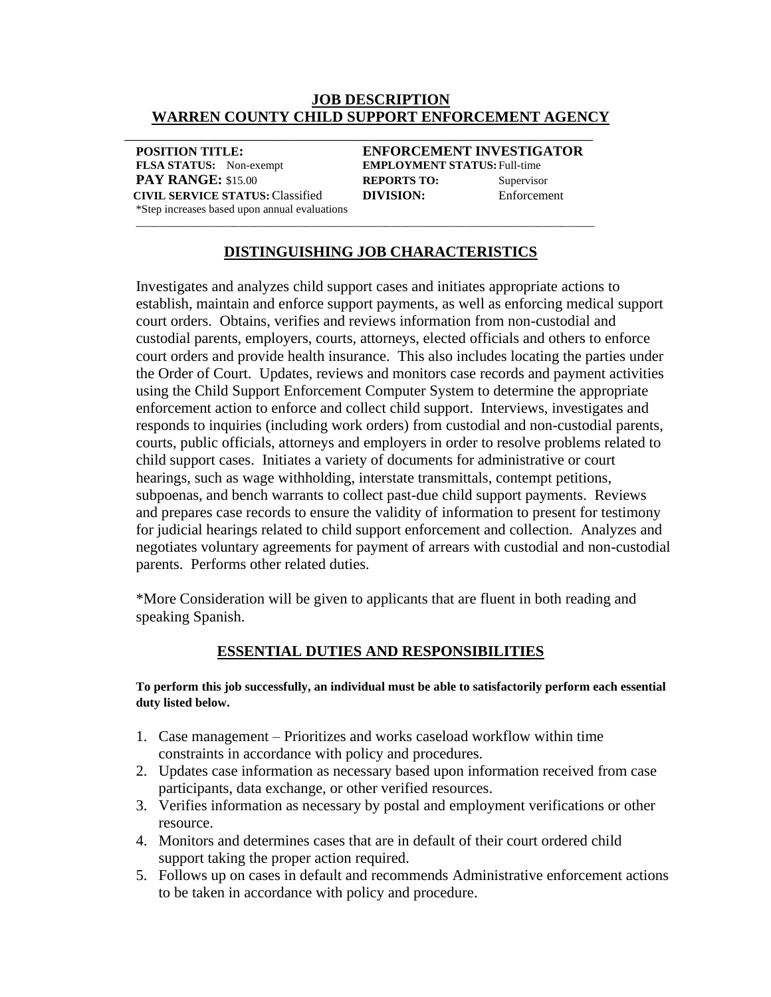#### **JOB DESCRIPTION WARREN COUNTY CHILD SUPPORT ENFORCEMENT AGENCY**

\_\_\_\_\_\_\_\_\_\_\_\_\_\_\_\_\_\_\_\_\_\_\_\_\_\_\_\_\_\_\_\_\_\_\_\_\_\_\_\_\_\_\_\_\_\_\_\_\_\_\_\_\_\_\_\_\_\_\_\_\_\_

**POSITION TITLE: ENFORCEMENT INVESTIGATOR FLSA STATUS:** Non-exempt **EMPLOYMENT STATUS:**Full-time **PAY RANGE:** \$15.00 **REPORTS TO:** Supervisor **CIVIL SERVICE STATUS:** Classified **DIVISION:** Enforcement \*Step increases based upon annual evaluations \_\_\_\_\_\_\_\_\_\_\_\_\_\_\_\_\_\_\_\_\_\_\_\_\_\_\_\_\_\_\_\_\_\_\_\_\_\_\_\_\_\_\_\_\_\_\_\_\_\_\_\_\_\_\_\_\_\_\_\_\_\_\_\_\_\_\_\_\_\_\_\_\_\_\_\_\_\_\_\_\_

# **DISTINGUISHING JOB CHARACTERISTICS**

Investigates and analyzes child support cases and initiates appropriate actions to establish, maintain and enforce support payments, as well as enforcing medical support court orders. Obtains, verifies and reviews information from non-custodial and custodial parents, employers, courts, attorneys, elected officials and others to enforce court orders and provide health insurance. This also includes locating the parties under the Order of Court. Updates, reviews and monitors case records and payment activities using the Child Support Enforcement Computer System to determine the appropriate enforcement action to enforce and collect child support. Interviews, investigates and responds to inquiries (including work orders) from custodial and non-custodial parents, courts, public officials, attorneys and employers in order to resolve problems related to child support cases. Initiates a variety of documents for administrative or court hearings, such as wage withholding, interstate transmittals, contempt petitions, subpoenas, and bench warrants to collect past-due child support payments. Reviews and prepares case records to ensure the validity of information to present for testimony for judicial hearings related to child support enforcement and collection. Analyzes and negotiates voluntary agreements for payment of arrears with custodial and non-custodial parents. Performs other related duties.

\*More Consideration will be given to applicants that are fluent in both reading and speaking Spanish.

## **ESSENTIAL DUTIES AND RESPONSIBILITIES**

#### **To perform this job successfully, an individual must be able to satisfactorily perform each essential duty listed below.**

- 1. Case management Prioritizes and works caseload workflow within time constraints in accordance with policy and procedures.
- 2. Updates case information as necessary based upon information received from case participants, data exchange, or other verified resources.
- 3. Verifies information as necessary by postal and employment verifications or other resource.
- 4. Monitors and determines cases that are in default of their court ordered child support taking the proper action required.
- 5. Follows up on cases in default and recommends Administrative enforcement actions to be taken in accordance with policy and procedure.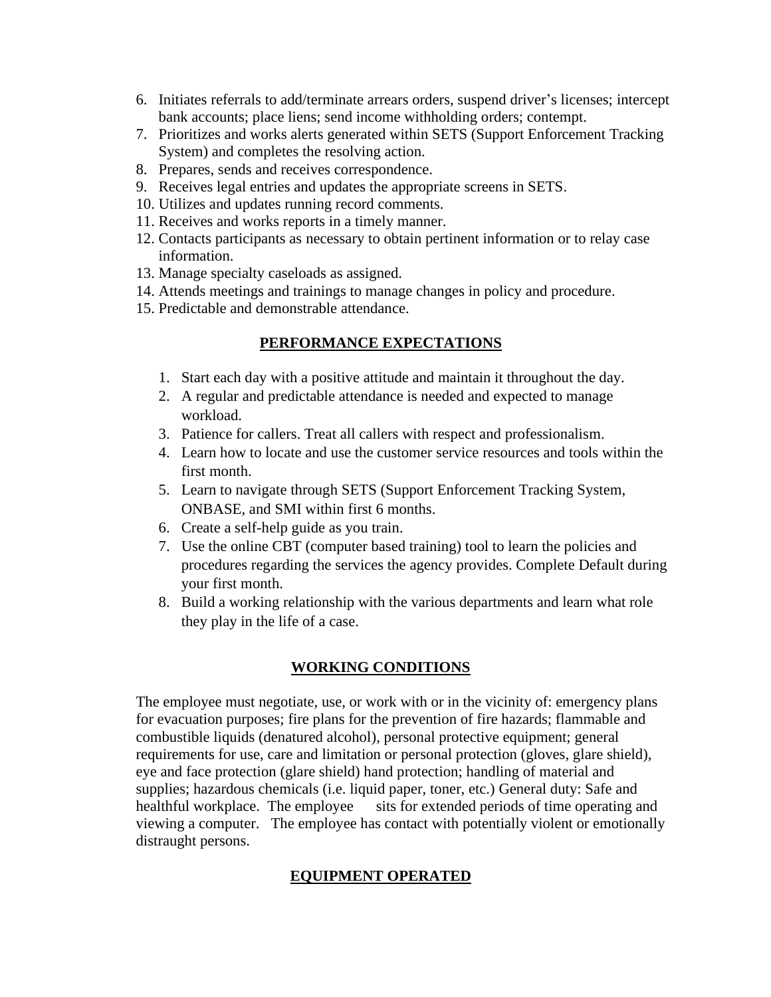- 6. Initiates referrals to add/terminate arrears orders, suspend driver's licenses; intercept bank accounts; place liens; send income withholding orders; contempt.
- 7. Prioritizes and works alerts generated within SETS (Support Enforcement Tracking System) and completes the resolving action.
- 8. Prepares, sends and receives correspondence.
- 9. Receives legal entries and updates the appropriate screens in SETS.
- 10. Utilizes and updates running record comments.
- 11. Receives and works reports in a timely manner.
- 12. Contacts participants as necessary to obtain pertinent information or to relay case information.
- 13. Manage specialty caseloads as assigned.
- 14. Attends meetings and trainings to manage changes in policy and procedure.
- 15. Predictable and demonstrable attendance.

# **PERFORMANCE EXPECTATIONS**

- 1. Start each day with a positive attitude and maintain it throughout the day.
- 2. A regular and predictable attendance is needed and expected to manage workload.
- 3. Patience for callers. Treat all callers with respect and professionalism.
- 4. Learn how to locate and use the customer service resources and tools within the first month.
- 5. Learn to navigate through SETS (Support Enforcement Tracking System, ONBASE, and SMI within first 6 months.
- 6. Create a self-help guide as you train.
- 7. Use the online CBT (computer based training) tool to learn the policies and procedures regarding the services the agency provides. Complete Default during your first month.
- 8. Build a working relationship with the various departments and learn what role they play in the life of a case.

## **WORKING CONDITIONS**

The employee must negotiate, use, or work with or in the vicinity of: emergency plans for evacuation purposes; fire plans for the prevention of fire hazards; flammable and combustible liquids (denatured alcohol), personal protective equipment; general requirements for use, care and limitation or personal protection (gloves, glare shield), eye and face protection (glare shield) hand protection; handling of material and supplies; hazardous chemicals (i.e. liquid paper, toner, etc.) General duty: Safe and healthful workplace. The employee sits for extended periods of time operating and viewing a computer. The employee has contact with potentially violent or emotionally distraught persons.

# **EQUIPMENT OPERATED**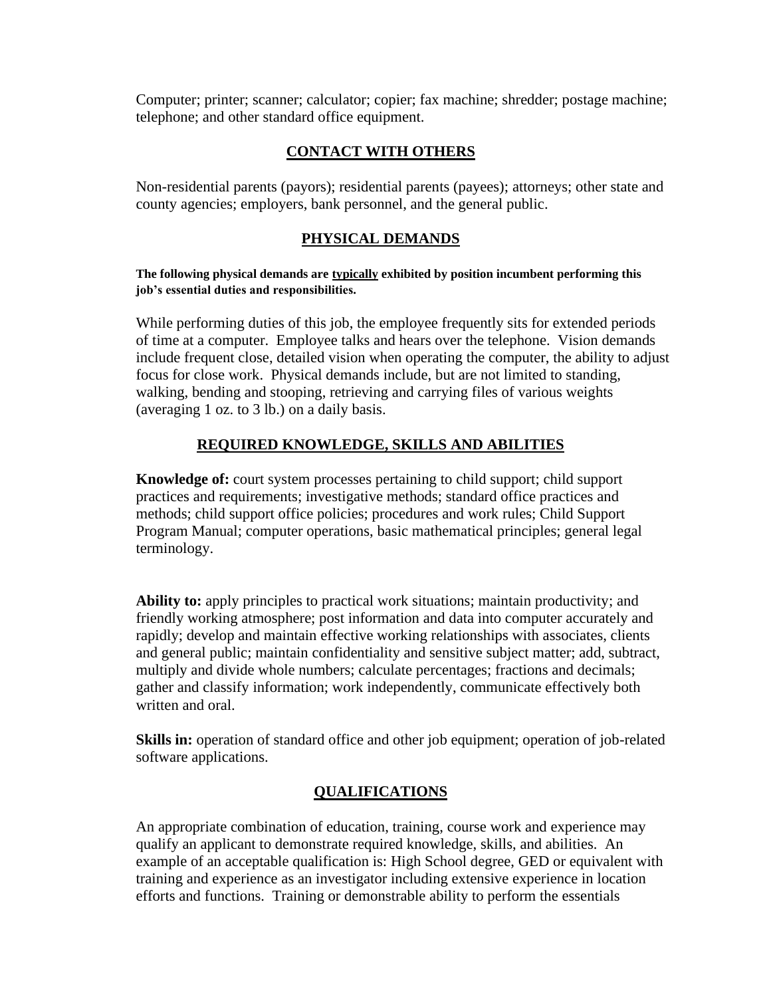Computer; printer; scanner; calculator; copier; fax machine; shredder; postage machine; telephone; and other standard office equipment.

# **CONTACT WITH OTHERS**

Non-residential parents (payors); residential parents (payees); attorneys; other state and county agencies; employers, bank personnel, and the general public.

# **PHYSICAL DEMANDS**

#### **The following physical demands are typically exhibited by position incumbent performing this job's essential duties and responsibilities.**

While performing duties of this job, the employee frequently sits for extended periods of time at a computer. Employee talks and hears over the telephone. Vision demands include frequent close, detailed vision when operating the computer, the ability to adjust focus for close work. Physical demands include, but are not limited to standing, walking, bending and stooping, retrieving and carrying files of various weights (averaging 1 oz. to 3 lb.) on a daily basis.

## **REQUIRED KNOWLEDGE, SKILLS AND ABILITIES**

**Knowledge of:** court system processes pertaining to child support; child support practices and requirements; investigative methods; standard office practices and methods; child support office policies; procedures and work rules; Child Support Program Manual; computer operations, basic mathematical principles; general legal terminology.

**Ability to:** apply principles to practical work situations; maintain productivity; and friendly working atmosphere; post information and data into computer accurately and rapidly; develop and maintain effective working relationships with associates, clients and general public; maintain confidentiality and sensitive subject matter; add, subtract, multiply and divide whole numbers; calculate percentages; fractions and decimals; gather and classify information; work independently, communicate effectively both written and oral.

**Skills in:** operation of standard office and other job equipment; operation of job-related software applications.

## **QUALIFICATIONS**

An appropriate combination of education, training, course work and experience may qualify an applicant to demonstrate required knowledge, skills, and abilities. An example of an acceptable qualification is: High School degree, GED or equivalent with training and experience as an investigator including extensive experience in location efforts and functions. Training or demonstrable ability to perform the essentials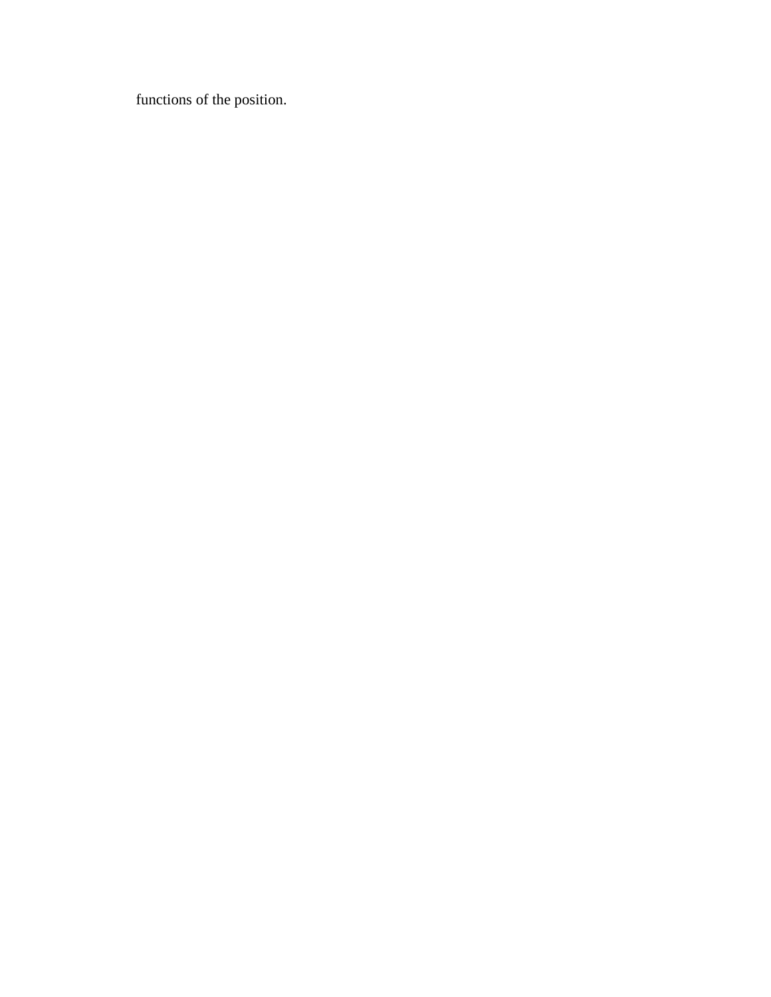functions of the position.